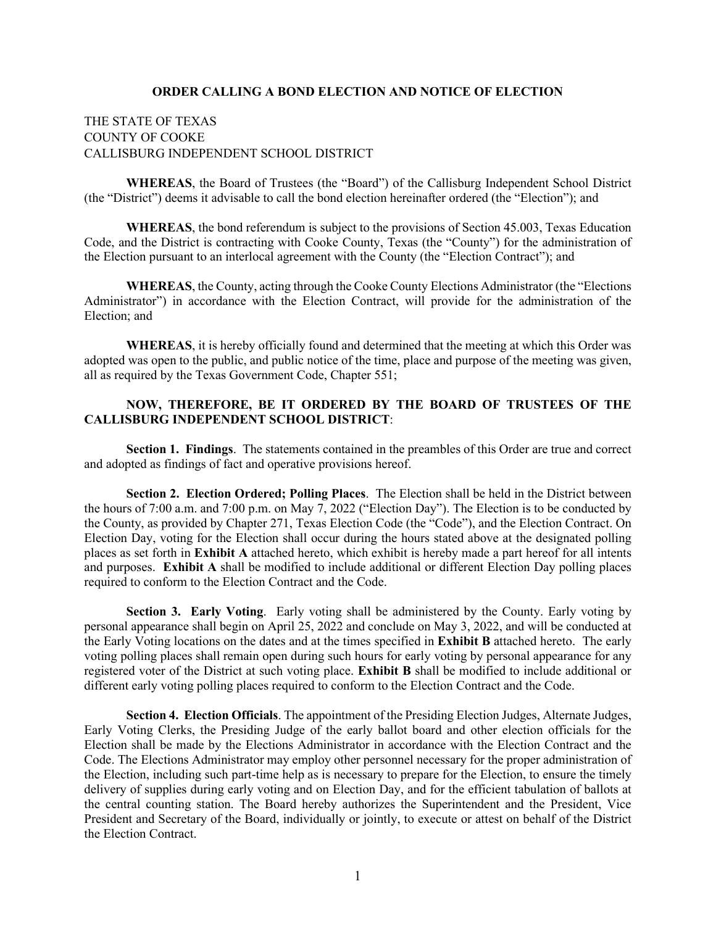#### **ORDER CALLING A BOND ELECTION AND NOTICE OF ELECTION**

### THE STATE OF TEXAS COUNTY OF COOKE CALLISBURG INDEPENDENT SCHOOL DISTRICT

**WHEREAS**, the Board of Trustees (the "Board") of the Callisburg Independent School District (the "District") deems it advisable to call the bond election hereinafter ordered (the "Election"); and

**WHEREAS**, the bond referendum is subject to the provisions of Section 45.003, Texas Education Code, and the District is contracting with Cooke County, Texas (the "County") for the administration of the Election pursuant to an interlocal agreement with the County (the "Election Contract"); and

**WHEREAS**, the County, acting through the Cooke County Elections Administrator (the "Elections Administrator") in accordance with the Election Contract, will provide for the administration of the Election; and

**WHEREAS**, it is hereby officially found and determined that the meeting at which this Order was adopted was open to the public, and public notice of the time, place and purpose of the meeting was given, all as required by the Texas Government Code, Chapter 551;

### **NOW, THEREFORE, BE IT ORDERED BY THE BOARD OF TRUSTEES OF THE CALLISBURG INDEPENDENT SCHOOL DISTRICT**:

**Section 1. Findings**. The statements contained in the preambles of this Order are true and correct and adopted as findings of fact and operative provisions hereof.

**Section 2. Election Ordered; Polling Places**. The Election shall be held in the District between the hours of 7:00 a.m. and 7:00 p.m. on May 7, 2022 ("Election Day"). The Election is to be conducted by the County, as provided by Chapter 271, Texas Election Code (the "Code"), and the Election Contract. On Election Day, voting for the Election shall occur during the hours stated above at the designated polling places as set forth in **Exhibit A** attached hereto, which exhibit is hereby made a part hereof for all intents and purposes. **Exhibit A** shall be modified to include additional or different Election Day polling places required to conform to the Election Contract and the Code.

**Section 3. Early Voting**. Early voting shall be administered by the County. Early voting by personal appearance shall begin on April 25, 2022 and conclude on May 3, 2022, and will be conducted at the Early Voting locations on the dates and at the times specified in **Exhibit B** attached hereto. The early voting polling places shall remain open during such hours for early voting by personal appearance for any registered voter of the District at such voting place. **Exhibit B** shall be modified to include additional or different early voting polling places required to conform to the Election Contract and the Code.

**Section 4. Election Officials**. The appointment of the Presiding Election Judges, Alternate Judges, Early Voting Clerks, the Presiding Judge of the early ballot board and other election officials for the Election shall be made by the Elections Administrator in accordance with the Election Contract and the Code. The Elections Administrator may employ other personnel necessary for the proper administration of the Election, including such part-time help as is necessary to prepare for the Election, to ensure the timely delivery of supplies during early voting and on Election Day, and for the efficient tabulation of ballots at the central counting station. The Board hereby authorizes the Superintendent and the President, Vice President and Secretary of the Board, individually or jointly, to execute or attest on behalf of the District the Election Contract.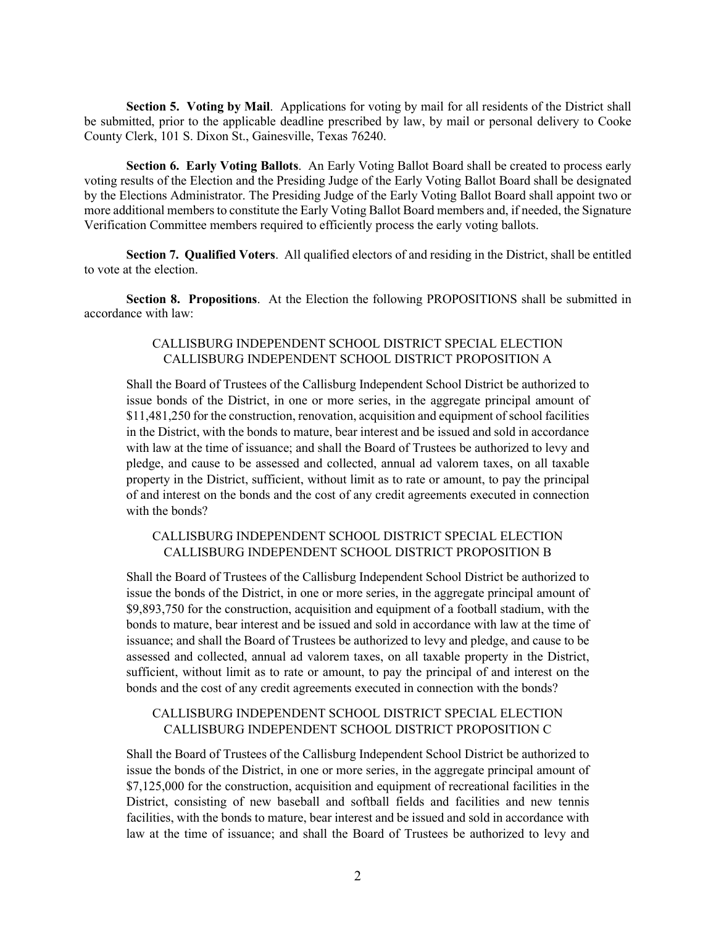**Section 5. Voting by Mail.** Applications for voting by mail for all residents of the District shall be submitted, prior to the applicable deadline prescribed by law, by mail or personal delivery to Cooke County Clerk, 101 S. Dixon St., Gainesville, Texas 76240.

**Section 6. Early Voting Ballots**. An Early Voting Ballot Board shall be created to process early voting results of the Election and the Presiding Judge of the Early Voting Ballot Board shall be designated by the Elections Administrator. The Presiding Judge of the Early Voting Ballot Board shall appoint two or more additional members to constitute the Early Voting Ballot Board members and, if needed, the Signature Verification Committee members required to efficiently process the early voting ballots.

**Section 7. Qualified Voters**. All qualified electors of and residing in the District, shall be entitled to vote at the election.

**Section 8. Propositions**. At the Election the following PROPOSITIONS shall be submitted in accordance with law:

### CALLISBURG INDEPENDENT SCHOOL DISTRICT SPECIAL ELECTION CALLISBURG INDEPENDENT SCHOOL DISTRICT PROPOSITION A

Shall the Board of Trustees of the Callisburg Independent School District be authorized to issue bonds of the District, in one or more series, in the aggregate principal amount of \$11,481,250 for the construction, renovation, acquisition and equipment of school facilities in the District, with the bonds to mature, bear interest and be issued and sold in accordance with law at the time of issuance; and shall the Board of Trustees be authorized to levy and pledge, and cause to be assessed and collected, annual ad valorem taxes, on all taxable property in the District, sufficient, without limit as to rate or amount, to pay the principal of and interest on the bonds and the cost of any credit agreements executed in connection with the bonds?

### CALLISBURG INDEPENDENT SCHOOL DISTRICT SPECIAL ELECTION CALLISBURG INDEPENDENT SCHOOL DISTRICT PROPOSITION B

Shall the Board of Trustees of the Callisburg Independent School District be authorized to issue the bonds of the District, in one or more series, in the aggregate principal amount of \$9,893,750 for the construction, acquisition and equipment of a football stadium, with the bonds to mature, bear interest and be issued and sold in accordance with law at the time of issuance; and shall the Board of Trustees be authorized to levy and pledge, and cause to be assessed and collected, annual ad valorem taxes, on all taxable property in the District, sufficient, without limit as to rate or amount, to pay the principal of and interest on the bonds and the cost of any credit agreements executed in connection with the bonds?

### CALLISBURG INDEPENDENT SCHOOL DISTRICT SPECIAL ELECTION CALLISBURG INDEPENDENT SCHOOL DISTRICT PROPOSITION C

Shall the Board of Trustees of the Callisburg Independent School District be authorized to issue the bonds of the District, in one or more series, in the aggregate principal amount of \$7,125,000 for the construction, acquisition and equipment of recreational facilities in the District, consisting of new baseball and softball fields and facilities and new tennis facilities, with the bonds to mature, bear interest and be issued and sold in accordance with law at the time of issuance; and shall the Board of Trustees be authorized to levy and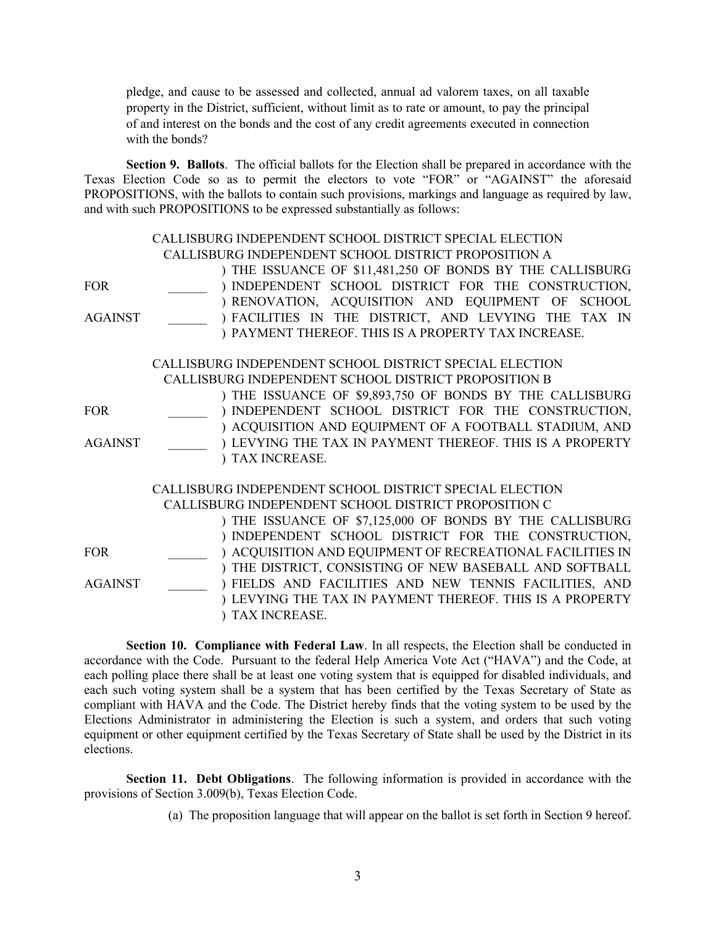pledge, and cause to be assessed and collected, annual ad valorem taxes, on all taxable property in the District, sufficient, without limit as to rate or amount, to pay the principal of and interest on the bonds and the cost of any credit agreements executed in connection with the bonds?

**Section 9. Ballots**. The official ballots for the Election shall be prepared in accordance with the Texas Election Code so as to permit the electors to vote "FOR" or "AGAINST" the aforesaid PROPOSITIONS, with the ballots to contain such provisions, markings and language as required by law, and with such PROPOSITIONS to be expressed substantially as follows:

|                | CALLISBURG INDEPENDENT SCHOOL DISTRICT SPECIAL ELECTION   |  |  |  |  |  |
|----------------|-----------------------------------------------------------|--|--|--|--|--|
|                | CALLISBURG INDEPENDENT SCHOOL DISTRICT PROPOSITION A      |  |  |  |  |  |
|                | ) THE ISSUANCE OF \$11,481,250 OF BONDS BY THE CALLISBURG |  |  |  |  |  |
| <b>FOR</b>     | ) INDEPENDENT SCHOOL DISTRICT FOR THE CONSTRUCTION,       |  |  |  |  |  |
|                | ) RENOVATION, ACQUISITION AND EQUIPMENT OF SCHOOL         |  |  |  |  |  |
| <b>AGAINST</b> | ) FACILITIES IN THE DISTRICT, AND LEVYING THE TAX IN      |  |  |  |  |  |
|                | ) PAYMENT THEREOF. THIS IS A PROPERTY TAX INCREASE.       |  |  |  |  |  |
|                | CALLISBURG INDEPENDENT SCHOOL DISTRICT SPECIAL ELECTION   |  |  |  |  |  |
|                | CALLISBURG INDEPENDENT SCHOOL DISTRICT PROPOSITION B      |  |  |  |  |  |
|                | ) THE ISSUANCE OF \$9,893,750 OF BONDS BY THE CALLISBURG  |  |  |  |  |  |
| <b>FOR</b>     | ) INDEPENDENT SCHOOL DISTRICT FOR THE CONSTRUCTION,       |  |  |  |  |  |
|                | ) ACQUISITION AND EQUIPMENT OF A FOOTBALL STADIUM, AND    |  |  |  |  |  |
| <b>AGAINST</b> | ) LEVYING THE TAX IN PAYMENT THEREOF. THIS IS A PROPERTY  |  |  |  |  |  |
|                | ) TAX INCREASE.                                           |  |  |  |  |  |
|                | CALLISBURG INDEPENDENT SCHOOL DISTRICT SPECIAL ELECTION   |  |  |  |  |  |
|                | CALLISBURG INDEPENDENT SCHOOL DISTRICT PROPOSITION C      |  |  |  |  |  |
|                | ) THE ISSUANCE OF \$7,125,000 OF BONDS BY THE CALLISBURG  |  |  |  |  |  |
|                | ) INDEPENDENT SCHOOL DISTRICT FOR THE CONSTRUCTION,       |  |  |  |  |  |
| <b>FOR</b>     | ) ACQUISITION AND EQUIPMENT OF RECREATIONAL FACILITIES IN |  |  |  |  |  |
|                | ) THE DISTRICT, CONSISTING OF NEW BASEBALL AND SOFTBALL   |  |  |  |  |  |
| <b>AGAINST</b> | ) FIELDS AND FACILITIES AND NEW TENNIS FACILITIES, AND    |  |  |  |  |  |
|                | ) LEVYING THE TAX IN PAYMENT THEREOF. THIS IS A PROPERTY  |  |  |  |  |  |
|                | TAX INCREASE.                                             |  |  |  |  |  |

**Section 10. Compliance with Federal Law**. In all respects, the Election shall be conducted in accordance with the Code. Pursuant to the federal Help America Vote Act ("HAVA") and the Code, at each polling place there shall be at least one voting system that is equipped for disabled individuals, and each such voting system shall be a system that has been certified by the Texas Secretary of State as compliant with HAVA and the Code. The District hereby finds that the voting system to be used by the Elections Administrator in administering the Election is such a system, and orders that such voting equipment or other equipment certified by the Texas Secretary of State shall be used by the District in its elections.

**Section 11. Debt Obligations**. The following information is provided in accordance with the provisions of Section 3.009(b), Texas Election Code.

(a) The proposition language that will appear on the ballot is set forth in Section 9 hereof.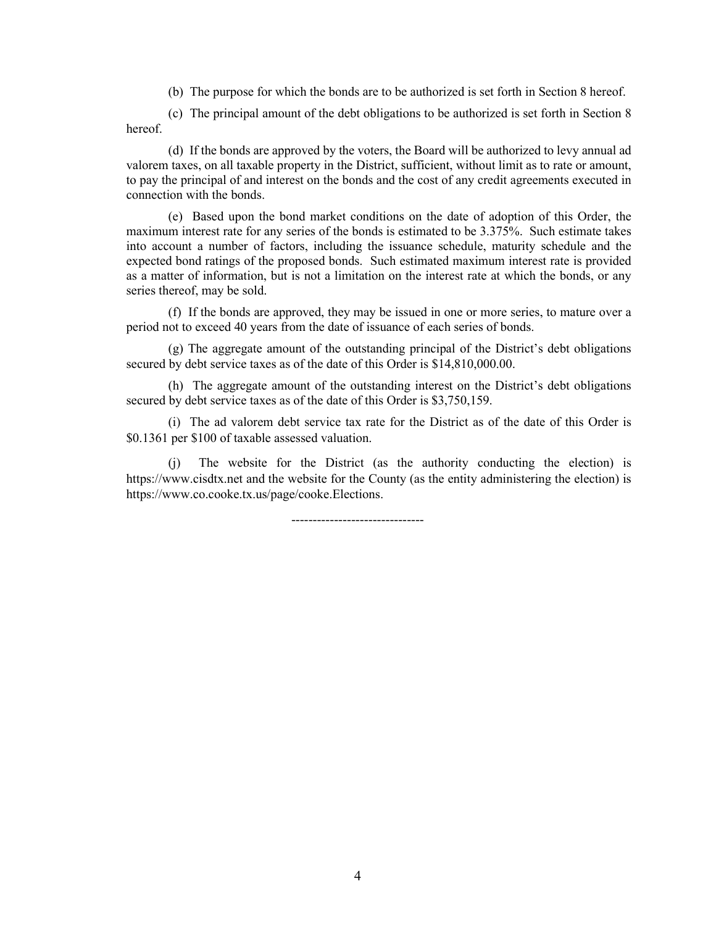(b) The purpose for which the bonds are to be authorized is set forth in Section 8 hereof.

(c) The principal amount of the debt obligations to be authorized is set forth in Section 8 hereof.

(d) If the bonds are approved by the voters, the Board will be authorized to levy annual ad valorem taxes, on all taxable property in the District, sufficient, without limit as to rate or amount, to pay the principal of and interest on the bonds and the cost of any credit agreements executed in connection with the bonds.

(e) Based upon the bond market conditions on the date of adoption of this Order, the maximum interest rate for any series of the bonds is estimated to be 3.375%. Such estimate takes into account a number of factors, including the issuance schedule, maturity schedule and the expected bond ratings of the proposed bonds. Such estimated maximum interest rate is provided as a matter of information, but is not a limitation on the interest rate at which the bonds, or any series thereof, may be sold.

(f) If the bonds are approved, they may be issued in one or more series, to mature over a period not to exceed 40 years from the date of issuance of each series of bonds.

(g) The aggregate amount of the outstanding principal of the District's debt obligations secured by debt service taxes as of the date of this Order is \$14,810,000.00.

(h) The aggregate amount of the outstanding interest on the District's debt obligations secured by debt service taxes as of the date of this Order is \$3,750,159.

(i) The ad valorem debt service tax rate for the District as of the date of this Order is \$0.1361 per \$100 of taxable assessed valuation.

(j) The website for the District (as the authority conducting the election) is https://www.cisdtx.net and the website for the County (as the entity administering the election) is https://www.co.cooke.tx.us/page/cooke.Elections.

-------------------------------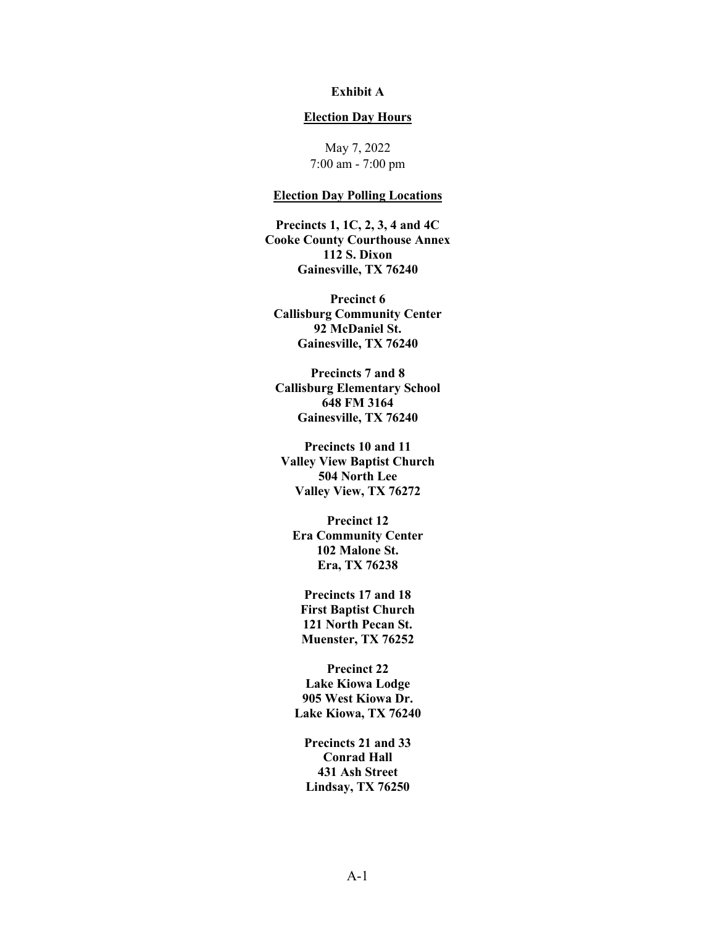### **Exhibit A**

#### **Election Day Hours**

May 7, 2022 7:00 am - 7:00 pm

### **Election Day Polling Locations**

**Precincts 1, 1C, 2, 3, 4 and 4C Cooke County Courthouse Annex 112 S. Dixon Gainesville, TX 76240** 

**Precinct 6 Callisburg Community Center 92 McDaniel St. Gainesville, TX 76240** 

**Precincts 7 and 8 Callisburg Elementary School 648 FM 3164 Gainesville, TX 76240** 

**Precincts 10 and 11 Valley View Baptist Church 504 North Lee Valley View, TX 76272** 

**Precinct 12 Era Community Center 102 Malone St. Era, TX 76238** 

**Precincts 17 and 18 First Baptist Church 121 North Pecan St. Muenster, TX 76252** 

**Precinct 22 Lake Kiowa Lodge 905 West Kiowa Dr. Lake Kiowa, TX 76240** 

**Precincts 21 and 33 Conrad Hall 431 Ash Street Lindsay, TX 76250**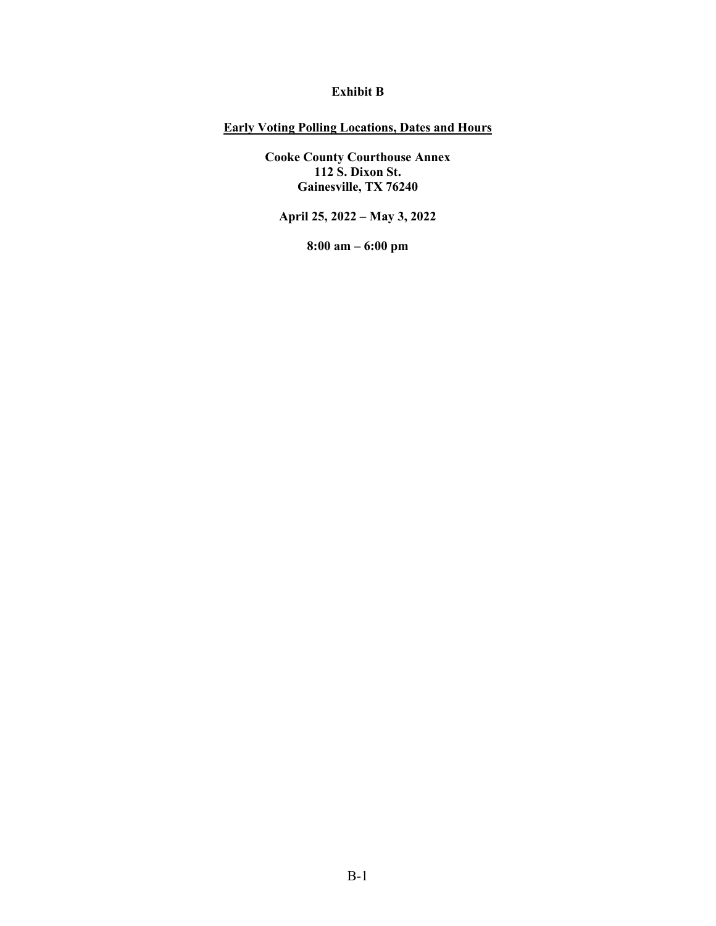### **Exhibit B**

# **Early Voting Polling Locations, Dates and Hours**

**Cooke County Courthouse Annex 112 S. Dixon St. Gainesville, TX 76240** 

**April 25, 2022 – May 3, 2022** 

**8:00 am – 6:00 pm**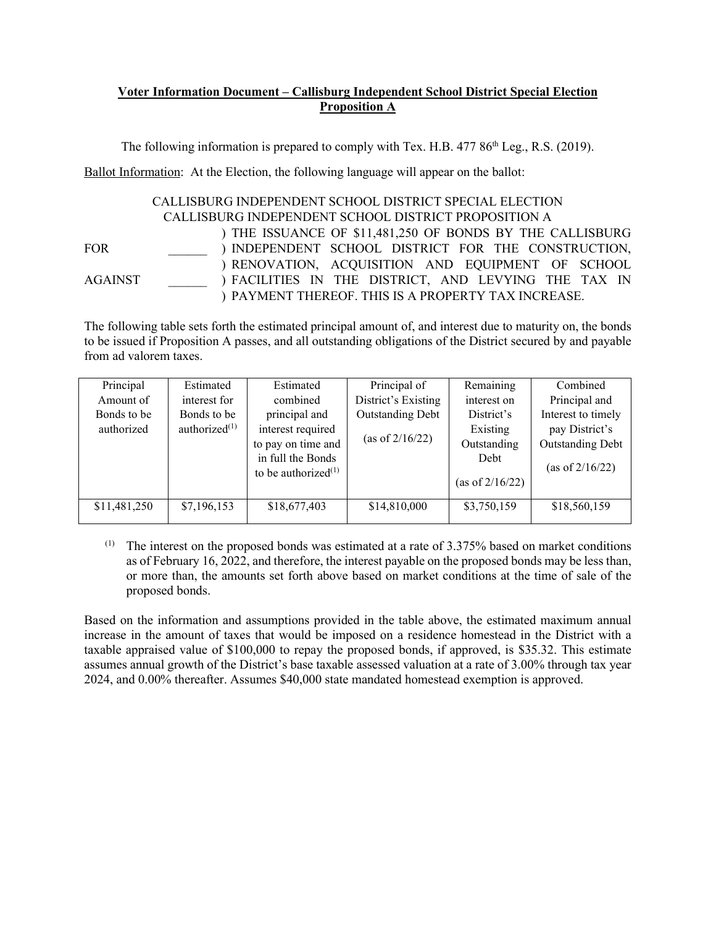# **Voter Information Document – Callisburg Independent School District Special Election Proposition A**

The following information is prepared to comply with Tex. H.B. 477 86<sup>th</sup> Leg., R.S. (2019).

Ballot Information: At the Election, the following language will appear on the ballot:

### CALLISBURG INDEPENDENT SCHOOL DISTRICT SPECIAL ELECTION CALLISBURG INDEPENDENT SCHOOL DISTRICT PROPOSITION A

 $FOR$ AGAINST \_\_\_\_\_\_ ) THE ISSUANCE OF \$11,481,250 OF BONDS BY THE CALLISBURG ) INDEPENDENT SCHOOL DISTRICT FOR THE CONSTRUCTION, ) RENOVATION, ACQUISITION AND EQUIPMENT OF SCHOOL ) FACILITIES IN THE DISTRICT, AND LEVYING THE TAX IN ) PAYMENT THEREOF. THIS IS A PROPERTY TAX INCREASE.

The following table sets forth the estimated principal amount of, and interest due to maturity on, the bonds to be issued if Proposition A passes, and all outstanding obligations of the District secured by and payable from ad valorem taxes.

| Principal    | Estimated        | Estimated              | Principal of            | Remaining          | Combined                |  |
|--------------|------------------|------------------------|-------------------------|--------------------|-------------------------|--|
| Amount of    | interest for     | combined               | District's Existing     | interest on        | Principal and           |  |
| Bonds to be  | Bonds to be      | principal and          | <b>Outstanding Debt</b> | District's         | Interest to timely      |  |
| authorized   | authorized $(1)$ | interest required      |                         | Existing           | pay District's          |  |
|              |                  | to pay on time and     | (as of $2/16/22$ )      | Outstanding        | <b>Outstanding Debt</b> |  |
|              |                  | in full the Bonds      |                         | Debt               |                         |  |
|              |                  | to be authorized $(1)$ |                         | (as of $2/16/22$ ) | (as of $2/16/22$ )      |  |
| \$11,481,250 | \$7,196,153      | \$18,677,403           | \$14,810,000            | \$3,750,159        | \$18,560,159            |  |
|              |                  |                        |                         |                    |                         |  |

 $(1)$  The interest on the proposed bonds was estimated at a rate of 3.375% based on market conditions as of February 16, 2022, and therefore, the interest payable on the proposed bonds may be less than, or more than, the amounts set forth above based on market conditions at the time of sale of the proposed bonds.

Based on the information and assumptions provided in the table above, the estimated maximum annual increase in the amount of taxes that would be imposed on a residence homestead in the District with a taxable appraised value of \$100,000 to repay the proposed bonds, if approved, is \$35.32. This estimate assumes annual growth of the District's base taxable assessed valuation at a rate of 3.00% through tax year 2024, and 0.00% thereafter. Assumes \$40,000 state mandated homestead exemption is approved.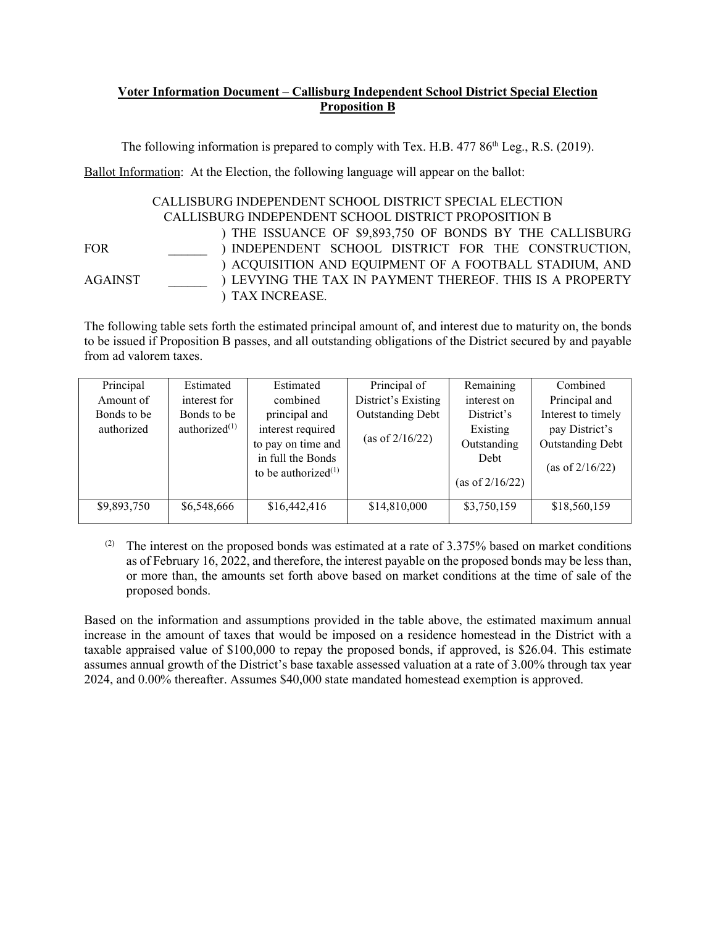# **Voter Information Document – Callisburg Independent School District Special Election Proposition B**

The following information is prepared to comply with Tex. H.B. 477 86<sup>th</sup> Leg., R.S. (2019).

Ballot Information: At the Election, the following language will appear on the ballot:

#### CALLISBURG INDEPENDENT SCHOOL DISTRICT SPECIAL ELECTION CALLISBURG INDEPENDENT SCHOOL DISTRICT PROPOSITION B

 $FOR$ 

AGAINST \_\_\_\_\_\_

) THE ISSUANCE OF \$9,893,750 OF BONDS BY THE CALLISBURG ) INDEPENDENT SCHOOL DISTRICT FOR THE CONSTRUCTION, ) ACQUISITION AND EQUIPMENT OF A FOOTBALL STADIUM, AND ) LEVYING THE TAX IN PAYMENT THEREOF. THIS IS A PROPERTY ) TAX INCREASE.

The following table sets forth the estimated principal amount of, and interest due to maturity on, the bonds to be issued if Proposition B passes, and all outstanding obligations of the District secured by and payable from ad valorem taxes.

| Principal   | Estimated        | Estimated              | Principal of        | Remaining          | Combined                |  |
|-------------|------------------|------------------------|---------------------|--------------------|-------------------------|--|
| Amount of   | interest for     | combined               | District's Existing | interest on        | Principal and           |  |
| Bonds to be | Bonds to be      | principal and          | Outstanding Debt    | District's         | Interest to timely      |  |
| authorized  | authorized $(1)$ | interest required      |                     | Existing           | pay District's          |  |
|             |                  | to pay on time and     | (as of $2/16/22$ )  | Outstanding        | <b>Outstanding Debt</b> |  |
|             |                  | in full the Bonds      |                     | Debt               |                         |  |
|             |                  | to be authorized $(1)$ |                     | (as of $2/16/22$ ) | (as of $2/16/22$ )      |  |
| \$9,893,750 | \$6,548,666      | \$16,442,416           | \$14,810,000        | \$3,750,159        | \$18,560,159            |  |
|             |                  |                        |                     |                    |                         |  |

(2) The interest on the proposed bonds was estimated at a rate of  $3.375\%$  based on market conditions as of February 16, 2022, and therefore, the interest payable on the proposed bonds may be less than, or more than, the amounts set forth above based on market conditions at the time of sale of the proposed bonds.

Based on the information and assumptions provided in the table above, the estimated maximum annual increase in the amount of taxes that would be imposed on a residence homestead in the District with a taxable appraised value of \$100,000 to repay the proposed bonds, if approved, is \$26.04. This estimate assumes annual growth of the District's base taxable assessed valuation at a rate of 3.00% through tax year 2024, and 0.00% thereafter. Assumes \$40,000 state mandated homestead exemption is approved.